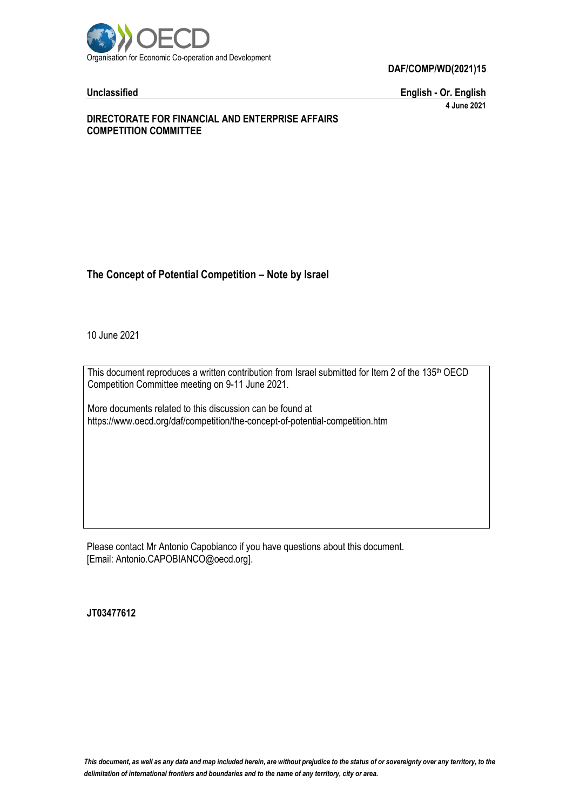

**Unclassified English - Or. English 4 June 2021**

### **DIRECTORATE FOR FINANCIAL AND ENTERPRISE AFFAIRS COMPETITION COMMITTEE**

## **The Concept of Potential Competition – Note by Israel**

10 June 2021

This document reproduces a written contribution from Israel submitted for Item 2 of the 135<sup>th</sup> OECD Competition Committee meeting on 9-11 June 2021.

More documents related to this discussion can be found at https://www.oecd.org/daf/competition/the-concept-of-potential-competition.htm

Please contact Mr Antonio Capobianco if you have questions about this document. [Email: Antonio.CAPOBIANCO@oecd.org].

**JT03477612**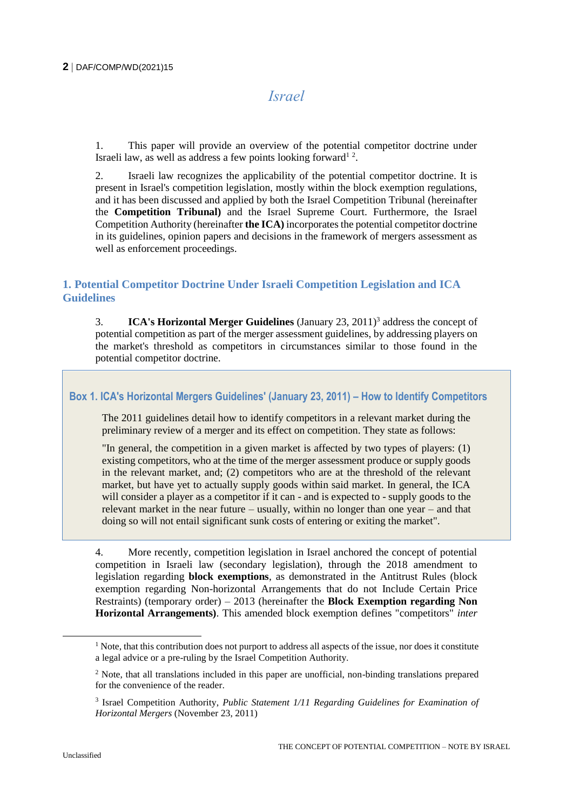# *Israel*

1. This paper will provide an overview of the potential competitor doctrine under Israeli law, as well as address a few points looking forward<sup>12</sup>.

2. Israeli law recognizes the applicability of the potential competitor doctrine. It is present in Israel's competition legislation, mostly within the block exemption regulations, and it has been discussed and applied by both the Israel Competition Tribunal (hereinafter the **Competition Tribunal)** and the Israel Supreme Court. Furthermore, the Israel Competition Authority (hereinafter **the ICA)** incorporates the potential competitor doctrine in its guidelines, opinion papers and decisions in the framework of mergers assessment as well as enforcement proceedings.

## **1. Potential Competitor Doctrine Under Israeli Competition Legislation and ICA Guidelines**

3. **ICA's Horizontal Merger Guidelines** (January 23, 2011)<sup>3</sup> address the concept of potential competition as part of the merger assessment guidelines, by addressing players on the market's threshold as competitors in circumstances similar to those found in the potential competitor doctrine.

**Box 1. ICA's Horizontal Mergers Guidelines' (January 23, 2011) – How to Identify Competitors**

The 2011 guidelines detail how to identify competitors in a relevant market during the preliminary review of a merger and its effect on competition. They state as follows:

"In general, the competition in a given market is affected by two types of players: (1) existing competitors, who at the time of the merger assessment produce or supply goods in the relevant market, and; (2) competitors who are at the threshold of the relevant market, but have yet to actually supply goods within said market. In general, the ICA will consider a player as a competitor if it can - and is expected to - supply goods to the relevant market in the near future – usually, within no longer than one year – and that doing so will not entail significant sunk costs of entering or exiting the market".

4. More recently, competition legislation in Israel anchored the concept of potential competition in Israeli law (secondary legislation), through the 2018 amendment to legislation regarding **block exemptions**, as demonstrated in the Antitrust Rules (block exemption regarding Non-horizontal Arrangements that do not Include Certain Price Restraints) (temporary order) – 2013 (hereinafter the **Block Exemption regarding Non Horizontal Arrangements)**. This amended block exemption defines "competitors" *inter* 

 $\overline{a}$ 

<sup>&</sup>lt;sup>1</sup> Note, that this contribution does not purport to address all aspects of the issue, nor does it constitute a legal advice or a pre-ruling by the Israel Competition Authority.

<sup>2</sup> Note, that all translations included in this paper are unofficial, non-binding translations prepared for the convenience of the reader.

<sup>&</sup>lt;sup>3</sup> Israel Competition Authority, *Public Statement 1/11 Regarding Guidelines for Examination of Horizontal Mergers* (November 23, 2011)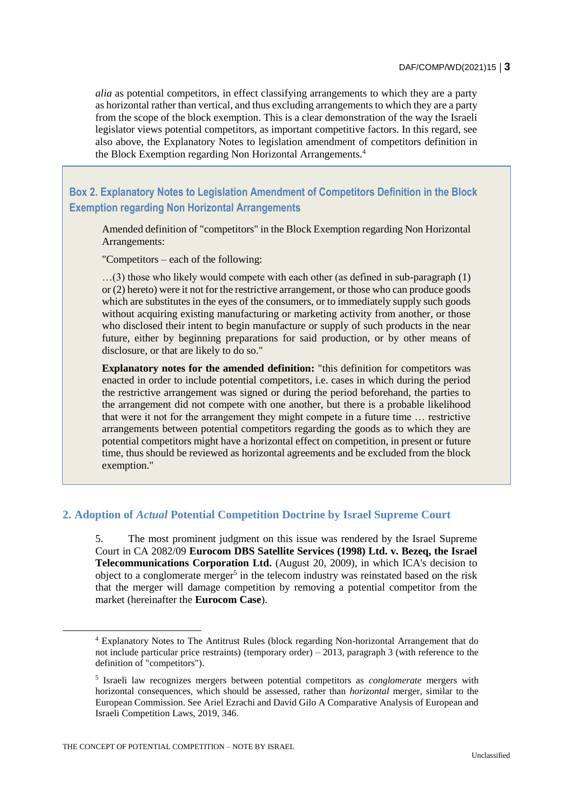*alia* as potential competitors, in effect classifying arrangements to which they are a party as horizontal rather than vertical, and thus excluding arrangements to which they are a party from the scope of the block exemption. This is a clear demonstration of the way the Israeli legislator views potential competitors, as important competitive factors. In this regard, see also above, the Explanatory Notes to legislation amendment of competitors definition in the Block Exemption regarding Non Horizontal Arrangements.<sup>4</sup>

**Box 2. Explanatory Notes to Legislation Amendment of Competitors Definition in the Block Exemption regarding Non Horizontal Arrangements**

Amended definition of "competitors" in the Block Exemption regarding Non Horizontal Arrangements:

"Competitors – each of the following:

…(3) those who likely would compete with each other (as defined in sub-paragraph (1) or (2) hereto) were it not for the restrictive arrangement, or those who can produce goods which are substitutes in the eyes of the consumers, or to immediately supply such goods without acquiring existing manufacturing or marketing activity from another, or those who disclosed their intent to begin manufacture or supply of such products in the near future, either by beginning preparations for said production, or by other means of disclosure, or that are likely to do so."

**Explanatory notes for the amended definition:** "this definition for competitors was enacted in order to include potential competitors, i.e. cases in which during the period the restrictive arrangement was signed or during the period beforehand, the parties to the arrangement did not compete with one another, but there is a probable likelihood that were it not for the arrangement they might compete in a future time … restrictive arrangements between potential competitors regarding the goods as to which they are potential competitors might have a horizontal effect on competition, in present or future time, thus should be reviewed as horizontal agreements and be excluded from the block exemption."

## **2. Adoption of** *Actual* **Potential Competition Doctrine by Israel Supreme Court**

5. The most prominent judgment on this issue was rendered by the Israel Supreme Court in CA 2082/09 **Eurocom DBS Satellite Services (1998) Ltd. v. Bezeq, the Israel Telecommunications Corporation Ltd.** (August 20, 2009), in which ICA's decision to object to a conglomerate merger<sup>5</sup> in the telecom industry was reinstated based on the risk that the merger will damage competition by removing a potential competitor from the market (hereinafter the **Eurocom Case**).

<sup>4</sup> Explanatory Notes to The Antitrust Rules (block regarding Non-horizontal Arrangement that do not include particular price restraints) (temporary order) – 2013, paragraph 3 (with reference to the definition of "competitors").

<sup>5</sup> Israeli law recognizes mergers between potential competitors as *conglomerate* mergers with horizontal consequences, which should be assessed, rather than *horizontal* merger, similar to the European Commission. See Ariel Ezrachi and David Gilo A Comparative Analysis of European and Israeli Competition Laws, 2019, 346.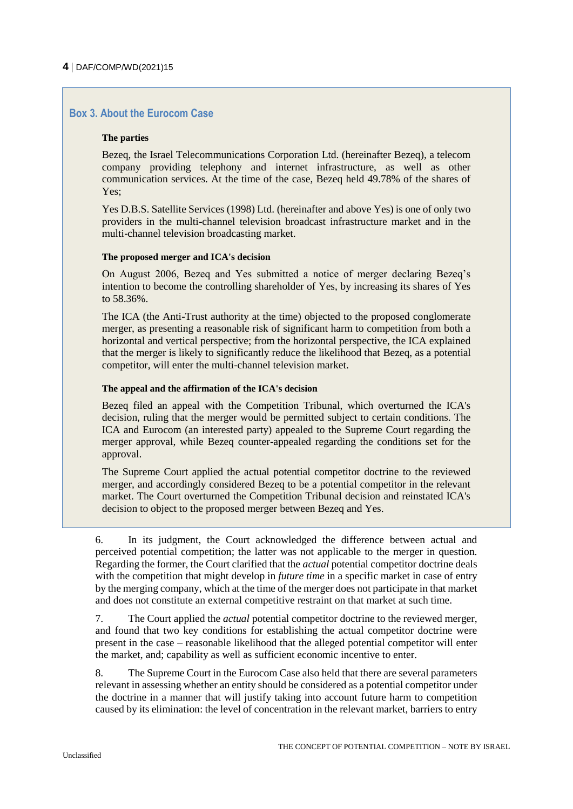## **Box 3. About the Eurocom Case**

#### **The parties**

Bezeq, the Israel Telecommunications Corporation Ltd. (hereinafter Bezeq), a telecom company providing telephony and internet infrastructure, as well as other communication services. At the time of the case, Bezeq held 49.78% of the shares of Yes;

Yes D.B.S. Satellite Services (1998) Ltd. (hereinafter and above Yes) is one of only two providers in the multi-channel television broadcast infrastructure market and in the multi-channel television broadcasting market.

#### **The proposed merger and ICA's decision**

On August 2006, Bezeq and Yes submitted a notice of merger declaring Bezeq's intention to become the controlling shareholder of Yes, by increasing its shares of Yes to 58.36%.

The ICA (the Anti-Trust authority at the time) objected to the proposed conglomerate merger, as presenting a reasonable risk of significant harm to competition from both a horizontal and vertical perspective; from the horizontal perspective, the ICA explained that the merger is likely to significantly reduce the likelihood that Bezeq, as a potential competitor, will enter the multi-channel television market.

#### **The appeal and the affirmation of the ICA's decision**

Bezeq filed an appeal with the Competition Tribunal, which overturned the ICA's decision, ruling that the merger would be permitted subject to certain conditions. The ICA and Eurocom (an interested party) appealed to the Supreme Court regarding the merger approval, while Bezeq counter-appealed regarding the conditions set for the approval.

The Supreme Court applied the actual potential competitor doctrine to the reviewed merger, and accordingly considered Bezeq to be a potential competitor in the relevant market. The Court overturned the Competition Tribunal decision and reinstated ICA's decision to object to the proposed merger between Bezeq and Yes.

6. In its judgment, the Court acknowledged the difference between actual and perceived potential competition; the latter was not applicable to the merger in question. Regarding the former, the Court clarified that the *actual* potential competitor doctrine deals with the competition that might develop in *future time* in a specific market in case of entry by the merging company, which at the time of the merger does not participate in that market and does not constitute an external competitive restraint on that market at such time.

7. The Court applied the *actual* potential competitor doctrine to the reviewed merger, and found that two key conditions for establishing the actual competitor doctrine were present in the case – reasonable likelihood that the alleged potential competitor will enter the market, and; capability as well as sufficient economic incentive to enter.

8. The Supreme Court in the Eurocom Case also held that there are several parameters relevant in assessing whether an entity should be considered as a potential competitor under the doctrine in a manner that will justify taking into account future harm to competition caused by its elimination: the level of concentration in the relevant market, barriers to entry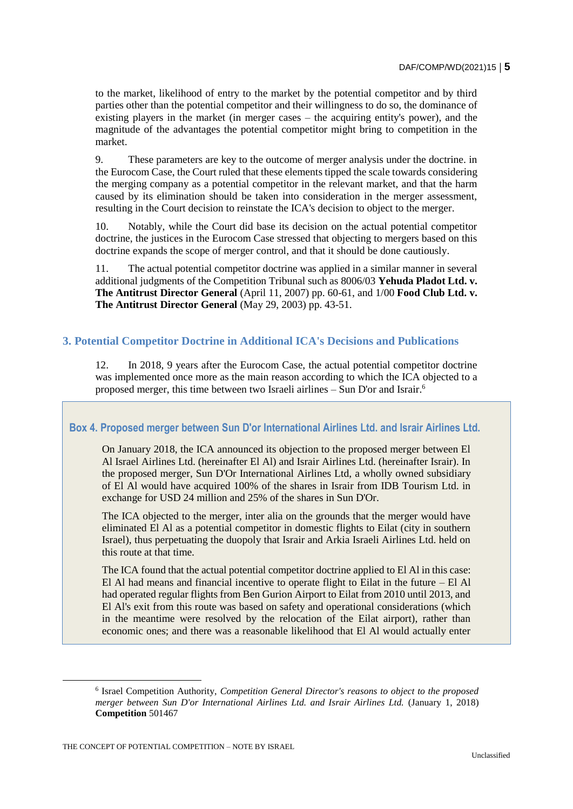to the market, likelihood of entry to the market by the potential competitor and by third parties other than the potential competitor and their willingness to do so, the dominance of existing players in the market (in merger cases – the acquiring entity's power), and the magnitude of the advantages the potential competitor might bring to competition in the market.

9. These parameters are key to the outcome of merger analysis under the doctrine. in the Eurocom Case, the Court ruled that these elements tipped the scale towards considering the merging company as a potential competitor in the relevant market, and that the harm caused by its elimination should be taken into consideration in the merger assessment, resulting in the Court decision to reinstate the ICA's decision to object to the merger.

10. Notably, while the Court did base its decision on the actual potential competitor doctrine, the justices in the Eurocom Case stressed that objecting to mergers based on this doctrine expands the scope of merger control, and that it should be done cautiously.

11. The actual potential competitor doctrine was applied in a similar manner in several additional judgments of the Competition Tribunal such as 8006/03 **Yehuda Pladot Ltd. v. The Antitrust Director General** (April 11, 2007) pp. 60-61, and 1/00 **Food Club Ltd. v. The Antitrust Director General** (May 29, 2003) pp. 43-51.

## **3. Potential Competitor Doctrine in Additional ICA's Decisions and Publications**

12. In 2018, 9 years after the Eurocom Case, the actual potential competitor doctrine was implemented once more as the main reason according to which the ICA objected to a proposed merger, this time between two Israeli airlines – Sun D'or and Israir.<sup>6</sup>

#### **Box 4. Proposed merger between Sun D'or International Airlines Ltd. and Israir Airlines Ltd.**

On January 2018, the ICA announced its objection to the proposed merger between El Al Israel Airlines Ltd. (hereinafter El Al) and Israir Airlines Ltd. (hereinafter Israir). In the proposed merger, Sun D'Or International Airlines Ltd, a wholly owned subsidiary of El Al would have acquired 100% of the shares in Israir from IDB Tourism Ltd. in exchange for USD 24 million and 25% of the shares in Sun D'Or.

The ICA objected to the merger, inter alia on the grounds that the merger would have eliminated El Al as a potential competitor in domestic flights to Eilat (city in southern Israel), thus perpetuating the duopoly that Israir and Arkia Israeli Airlines Ltd. held on this route at that time.

The ICA found that the actual potential competitor doctrine applied to El Al in this case: El Al had means and financial incentive to operate flight to Eilat in the future – El Al had operated regular flights from Ben Gurion Airport to Eilat from 2010 until 2013, and El Al's exit from this route was based on safety and operational considerations (which in the meantime were resolved by the relocation of the Eilat airport), rather than economic ones; and there was a reasonable likelihood that El Al would actually enter

THE CONCEPT OF POTENTIAL COMPETITION – NOTE BY ISRAEL

 $\overline{a}$ 

<sup>6</sup> Israel Competition Authority, *Competition General Director's reasons to object to the proposed merger between Sun D'or International Airlines Ltd. and Israir Airlines Ltd.* (January 1, 2018) **Competition** 501467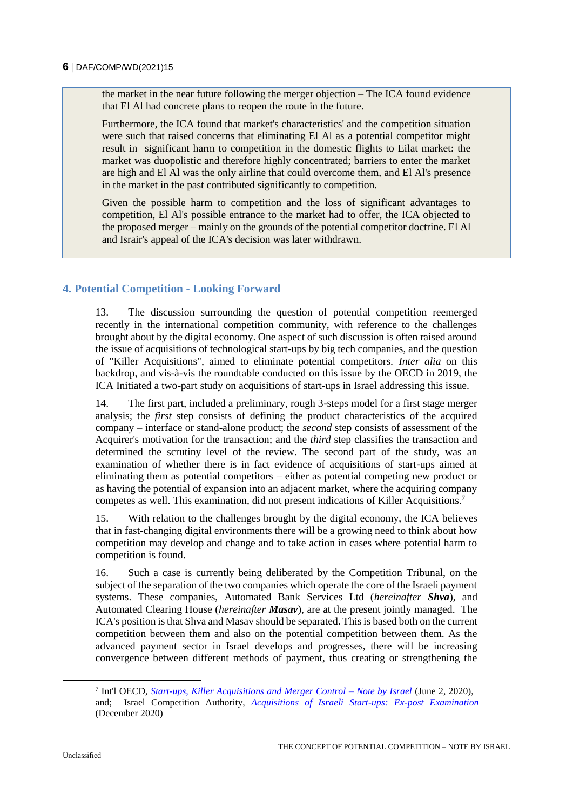the market in the near future following the merger objection – The ICA found evidence that El Al had concrete plans to reopen the route in the future.

Furthermore, the ICA found that market's characteristics' and the competition situation were such that raised concerns that eliminating El Al as a potential competitor might result in significant harm to competition in the domestic flights to Eilat market: the market was duopolistic and therefore highly concentrated; barriers to enter the market are high and El Al was the only airline that could overcome them, and El Al's presence in the market in the past contributed significantly to competition.

Given the possible harm to competition and the loss of significant advantages to competition, El Al's possible entrance to the market had to offer, the ICA objected to the proposed merger – mainly on the grounds of the potential competitor doctrine. El Al and Israir's appeal of the ICA's decision was later withdrawn.

## **4. Potential Competition - Looking Forward**

13. The discussion surrounding the question of potential competition reemerged recently in the international competition community, with reference to the challenges brought about by the digital economy. One aspect of such discussion is often raised around the issue of acquisitions of technological start-ups by big tech companies, and the question of "Killer Acquisitions", aimed to eliminate potential competitors. *Inter alia* on this backdrop, and vis-à-vis the roundtable conducted on this issue by the OECD in 2019, the ICA Initiated a two-part study on acquisitions of start-ups in Israel addressing this issue.

14. The first part, included a preliminary, rough 3-steps model for a first stage merger analysis; the *first* step consists of defining the product characteristics of the acquired company – interface or stand-alone product; the *second* step consists of assessment of the Acquirer's motivation for the transaction; and the *third* step classifies the transaction and determined the scrutiny level of the review. The second part of the study, was an examination of whether there is in fact evidence of acquisitions of start-ups aimed at eliminating them as potential competitors – either as potential competing new product or as having the potential of expansion into an adjacent market, where the acquiring company competes as well. This examination, did not present indications of Killer Acquisitions.<sup>7</sup>

15. With relation to the challenges brought by the digital economy, the ICA believes that in fast-changing digital environments there will be a growing need to think about how competition may develop and change and to take action in cases where potential harm to competition is found.

16. Such a case is currently being deliberated by the Competition Tribunal, on the subject of the separation of the two companies which operate the core of the Israeli payment systems. These companies, Automated Bank Services Ltd (*hereinafter Shva*), and Automated Clearing House (*hereinafter Masav*), are at the present jointly managed. The ICA's position is that Shva and Masav should be separated. This is based both on the current competition between them and also on the potential competition between them. As the advanced payment sector in Israel develops and progresses, there will be increasing convergence between different methods of payment, thus creating or strengthening the

 $\overline{a}$ 

<sup>7</sup> Int'l OECD, *[Start-ups, Killer Acquisitions and Merger Control –](https://www.gov.il/BlobFolder/generalpage/interncooperation/he/interncooperation_Start-ups%20killer%20acquisitions%20and%20merger%20control%20062020.pdf) Note by Israel* (June 2, 2020), and; Israel Competition Authority, *[Acquisitions of Israeli Start-ups: Ex-post Examination](https://www.gov.il/BlobFolder/reports/startups-acquisitions/he/publications_Acquisition%20of%20Israeli)* (December 2020)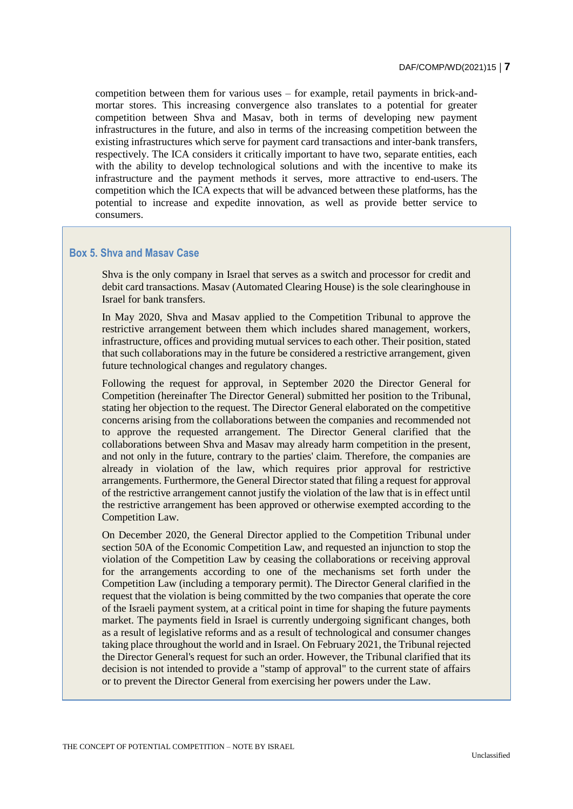competition between them for various uses – for example, retail payments in brick-andmortar stores. This increasing convergence also translates to a potential for greater competition between Shva and Masav, both in terms of developing new payment infrastructures in the future, and also in terms of the increasing competition between the existing infrastructures which serve for payment card transactions and inter-bank transfers, respectively. The ICA considers it critically important to have two, separate entities, each with the ability to develop technological solutions and with the incentive to make its infrastructure and the payment methods it serves, more attractive to end-users. The competition which the ICA expects that will be advanced between these platforms, has the potential to increase and expedite innovation, as well as provide better service to consumers.

#### **Box 5. Shva and Masav Case**

Shva is the only company in Israel that serves as a switch and processor for credit and debit card transactions. Masav (Automated Clearing House) is the sole clearinghouse in Israel for bank transfers.

In May 2020, Shva and Masav applied to the Competition Tribunal to approve the restrictive arrangement between them which includes shared management, workers, infrastructure, offices and providing mutual services to each other. Their position, stated that such collaborations may in the future be considered a restrictive arrangement, given future technological changes and regulatory changes.

Following the request for approval, in September 2020 the Director General for Competition (hereinafter The Director General) submitted her position to the Tribunal, stating her objection to the request. The Director General elaborated on the competitive concerns arising from the collaborations between the companies and recommended not to approve the requested arrangement. The Director General clarified that the collaborations between Shva and Masav may already harm competition in the present, and not only in the future, contrary to the parties' claim. Therefore, the companies are already in violation of the law, which requires prior approval for restrictive arrangements. Furthermore, the General Director stated that filing a request for approval of the restrictive arrangement cannot justify the violation of the law that is in effect until the restrictive arrangement has been approved or otherwise exempted according to the Competition Law.

On December 2020, the General Director applied to the Competition Tribunal under section 50A of the Economic Competition Law, and requested an injunction to stop the violation of the Competition Law by ceasing the collaborations or receiving approval for the arrangements according to one of the mechanisms set forth under the Competition Law (including a temporary permit). The Director General clarified in the request that the violation is being committed by the two companies that operate the core of the Israeli payment system, at a critical point in time for shaping the future payments market. The payments field in Israel is currently undergoing significant changes, both as a result of legislative reforms and as a result of technological and consumer changes taking place throughout the world and in Israel. On February 2021, the Tribunal rejected the Director General's request for such an order. However, the Tribunal clarified that its decision is not intended to provide a "stamp of approval" to the current state of affairs or to prevent the Director General from exercising her powers under the Law.